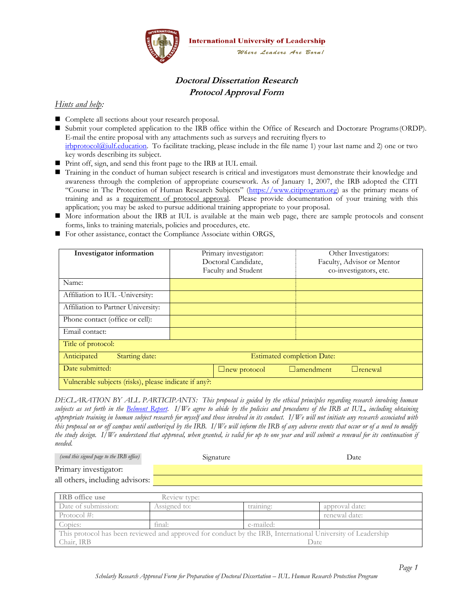

# **Doctoral Dissertation Research Protocol Approval Form**

#### *Hints and help:*

- Complete all sections about your research proposal.
- Submit your completed application to the IRB office within the Office of Research and Doctorare Programs(ORDP). E-mail the entire proposal with any attachments such as surveys and recruiting flyers to [irbprotocol@iulf.education.](mailto:irbprotocol@iulf.education) To facilitate tracking, please include in the file name 1) your last name and 2) one or two key words describing its subject.
- Print off, sign, and send this front page to the IRB at IUL email.
- Training in the conduct of human subject research is critical and investigators must demonstrate their knowledge and awareness through the completion of appropriate coursework. As of January 1, 2007, the IRB adopted the CITI "Course in The Protection of Human Research Subjects" ([https://www.citiprogram.org\)](https://www.citiprogram.org/) as the primary means of training and as a requirement of protocol approval. Please provide documentation of your training with this application; you may be asked to pursue additional training appropriate to your proposal.
- More information about the IRB at IUL is available at the main web page, there are sample protocols and consent forms, links to training materials, policies and procedures, etc.
- For other assistance, contact the Compliance Associate within ORGS,

| Investigator information                              | Primary investigator:<br>Other Investigators: |                                    |  |  |
|-------------------------------------------------------|-----------------------------------------------|------------------------------------|--|--|
|                                                       | Doctoral Candidate,                           | Faculty, Advisor or Mentor         |  |  |
|                                                       | Faculty and Student                           | co-investigators, etc.             |  |  |
| Name:                                                 |                                               |                                    |  |  |
| Affiliation to IUL - University:                      |                                               |                                    |  |  |
| Affiliation to Partner University:                    |                                               |                                    |  |  |
| Phone contact (office or cell):                       |                                               |                                    |  |  |
| Email contact:                                        |                                               |                                    |  |  |
| Title of protocol:                                    |                                               |                                    |  |  |
| Anticipated<br>Starting date:                         | <b>Estimated completion Date:</b>             |                                    |  |  |
| Date submitted:                                       | $\Box$ new protocol                           | $\Box$ amendment<br>$\Box$ renewal |  |  |
| Vulnerable subjects (risks), please indicate if any?: |                                               |                                    |  |  |

*DECLARATION BY ALL PARTICIPANTS: This proposal is guided by the ethical principles regarding research involving human subjects as set forth in the Belmont Report. I/We agree to abide by the policies and procedures of the IRB at IUL, including obtaining appropriate training in human subject research for myself and those involved in its conduct. I/We will not initiate any research associated with this proposal on or off campus until authorized by the IRB. I/We will inform the IRB of any adverse events that occur or of a need to modify the study design. I/We understand that approval, when granted, is valid for up to one year and will submit a renewal for its continuation if needed.* 

| (send this signed page to the IRB office) | Signature    | Date |
|-------------------------------------------|--------------|------|
| Primary investigator:                     |              |      |
| all others, including advisors:           |              |      |
|                                           |              |      |
| <b>IRB</b> office use                     | Review type: |      |

| TIME ATTECHNE                                                                                               |              |           |                |
|-------------------------------------------------------------------------------------------------------------|--------------|-----------|----------------|
| Date of submission:                                                                                         | Assigned to: | training: | approval date: |
| Protocol $\#$ :                                                                                             |              |           | renewal date:  |
| Copies:                                                                                                     | final:       | e-mailed: |                |
| This protocol has been reviewed and approved for conduct by the IRB, International University of Leadership |              |           |                |
| Chair, IRB<br>Date                                                                                          |              |           |                |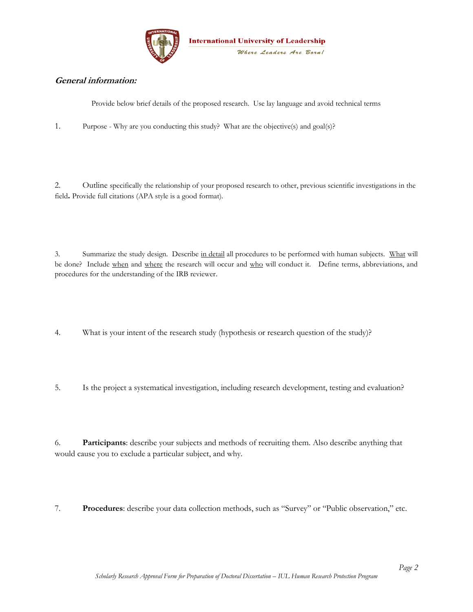

### **General information:**

Provide below brief details of the proposed research. Use lay language and avoid technical terms

1. Purpose - Why are you conducting this study? What are the objective(s) and goal(s)?

2. Outline specifically the relationship of your proposed research to other, previous scientific investigations in the field**.** Provide full citations (APA style is a good format).

3. Summarize the study design. Describe in detail all procedures to be performed with human subjects. What will be done? Include when and where the research will occur and who will conduct it. Define terms, abbreviations, and procedures for the understanding of the IRB reviewer.

4. What is your intent of the research study (hypothesis or research question of the study)?

5. Is the project a systematical investigation, including research development, testing and evaluation?

6. **Participants**: describe your subjects and methods of recruiting them. Also describe anything that would cause you to exclude a particular subject, and why.

7. **Procedures**: describe your data collection methods, such as "Survey" or "Public observation," etc.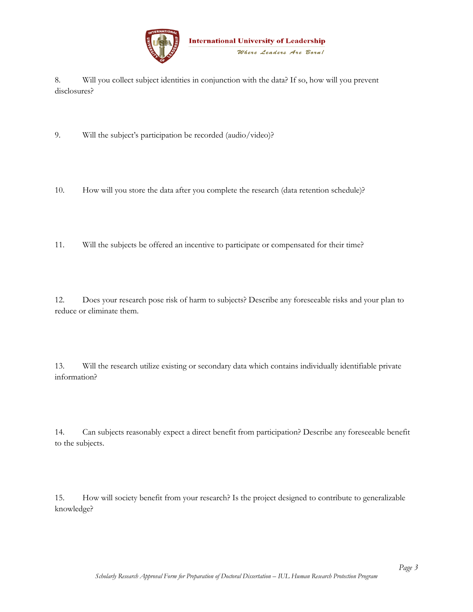

8. Will you collect subject identities in conjunction with the data? If so, how will you prevent disclosures?

9. Will the subject's participation be recorded (audio/video)?

10. How will you store the data after you complete the research (data retention schedule)?

11. Will the subjects be offered an incentive to participate or compensated for their time?

12. Does your research pose risk of harm to subjects? Describe any foreseeable risks and your plan to reduce or eliminate them.

13. Will the research utilize existing or secondary data which contains individually identifiable private information?

14. Can subjects reasonably expect a direct benefit from participation? Describe any foreseeable benefit to the subjects.

15. How will society benefit from your research? Is the project designed to contribute to generalizable knowledge?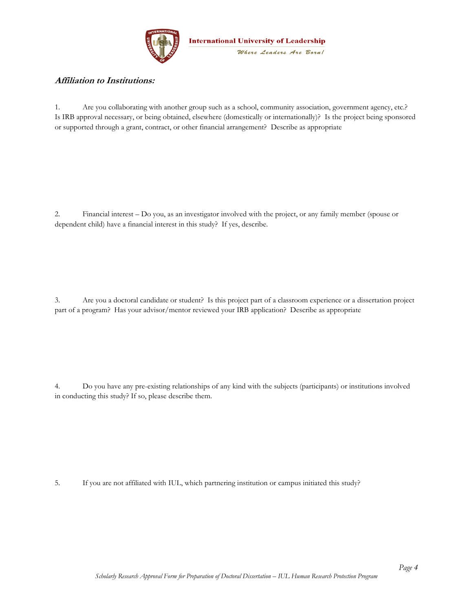

### **Affiliation to Institutions:**

1. Are you collaborating with another group such as a school, community association, government agency, etc.? Is IRB approval necessary, or being obtained, elsewhere (domestically or internationally)?Is the project being sponsored or supported through a grant, contract, or other financial arrangement?Describe as appropriate

2. Financial interest – Do you, as an investigator involved with the project, or any family member (spouse or dependent child) have a financial interest in this study? If yes, describe.

3. Are you a doctoral candidate or student? Is this project part of a classroom experience or a dissertation project part of a program? Has your advisor/mentor reviewed your IRB application? Describe as appropriate

4. Do you have any pre-existing relationships of any kind with the subjects (participants) or institutions involved in conducting this study? If so, please describe them.

5. If you are not affiliated with IUL, which partnering institution or campus initiated this study?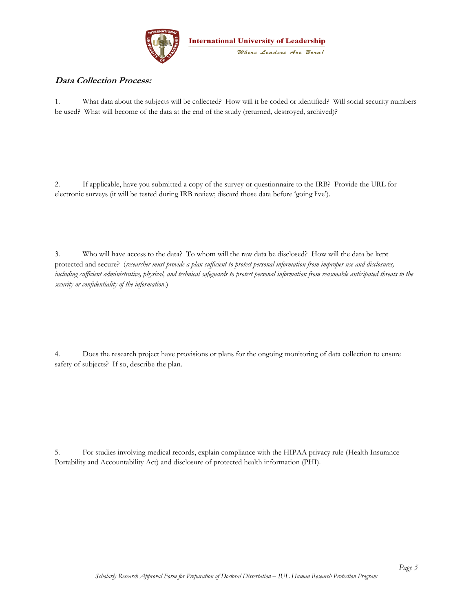

## **Data Collection Process:**

1. What data about the subjects will be collected? How will it be coded or identified? Will social security numbers be used? What will become of the data at the end of the study (returned, destroyed, archived)?

2. If applicable, have you submitted a copy of the survey or questionnaire to the IRB? Provide the URL for electronic surveys (it will be tested during IRB review; discard those data before 'going live').

3. Who will have access to the data? To whom will the raw data be disclosed? How will the data be kept protected and secure? (*researcher must provide a plan sufficient to protect personal information from improper use and disclosures, including sufficient administrative, physical, and technical safeguards to protect personal information from reasonable anticipated threats to the security or confidentiality of the information*.)

4. Does the research project have provisions or plans for the ongoing monitoring of data collection to ensure safety of subjects? If so, describe the plan.

5. For studies involving medical records, explain compliance with the HIPAA privacy rule (Health Insurance Portability and Accountability Act) and disclosure of protected health information (PHI).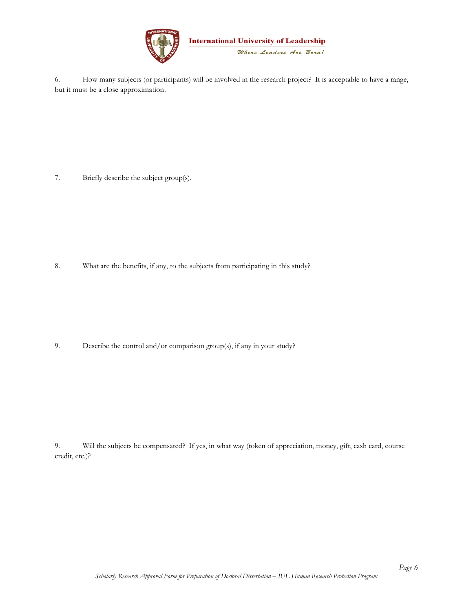

6. How many subjects (or participants) will be involved in the research project? It is acceptable to have a range, but it must be a close approximation.

7. Briefly describe the subject group(s).

8. What are the benefits, if any, to the subjects from participating in this study?

9. Describe the control and/or comparison group(s), if any in your study?

9. Will the subjects be compensated? If yes, in what way (token of appreciation, money, gift, cash card, course credit, etc.)?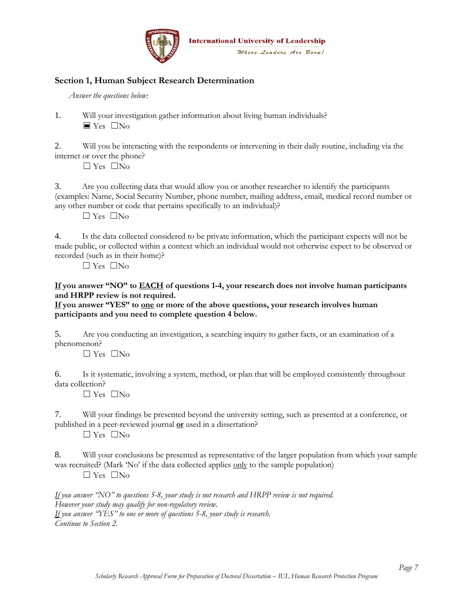

## **Section 1, Human Subject Research Determination**

*Answer the questions below:* 

1. Will your investigation gather information about living human individuals?  $\blacksquare$  Yes  $\blacksquare$  No.

2. Will you be interacting with the respondents or intervening in their daily routine, including via the internet or over the phone?

☐ Yes ☐No

3. Are you collecting data that would allow you or another researcher to identify the participants (examples: Name, Social Security Number, phone number, mailing address, email, medical record number or any other number or code that pertains specifically to an individual)?

 $\Box$  Yes  $\Box$  No

4. Is the data collected considered to be private information, which the participant expects will not be made public, or collected within a context which an individual would not otherwise expect to be observed or recorded (such as in their home)?

 $\Box$  Yes  $\Box$  No

#### **If you answer "NO" to EACH of questions 1-4, your research does not involve human participants and HRPP review is not required.**

**If you answer "YES" to one or more of the above questions, your research involves human participants and you need to complete question 4 below.** 

5. Are you conducting an investigation, a searching inquiry to gather facts, or an examination of a phenomenon?

 $\Box$  Yes  $\Box$  No

6. Is it systematic, involving a system, method, or plan that will be employed consistently throughout data collection?

 $\Box$  Yes  $\Box$  No

7. Will your findings be presented beyond the university setting, such as presented at a conference, or published in a peer-reviewed journal **or** used in a dissertation?

 $\Box$  Yes  $\Box$  No

8. Will your conclusions be presented as representative of the larger population from which your sample was recruited? (Mark 'No' if the data collected applies only to the sample population)

☐ Yes ☐No

*If you answer "NO" to questions 5-8, your study is not research and HRPP review is not required. However your study may qualify for non-regulatory review. If you answer "YES" to one or more of questions 5-8, your study is research. Continue to Section 2.* 

*Page 7*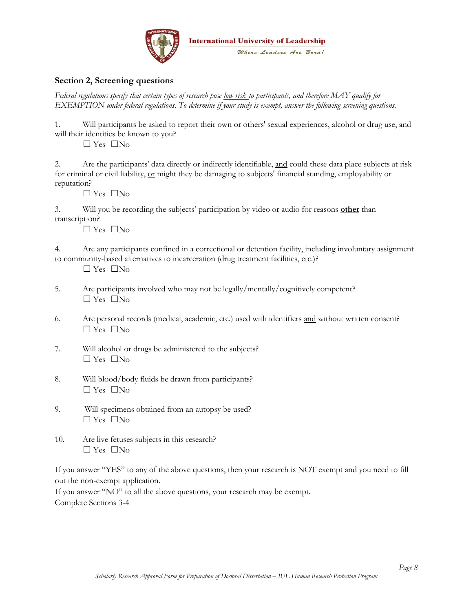

## **Section 2, Screening questions**

*Federal regulations specify that certain types of research pose low risk to participants, and therefore MAY qualify for EXEMPTION under federal regulations. To determine if your study is exempt, answer the following screening questions.* 

1. Will participants be asked to report their own or others' sexual experiences, alcohol or drug use, and will their identities be known to you?

☐ Yes ☐No

2. Are the participants' data directly or indirectly identifiable, and could these data place subjects at risk for criminal or civil liability, or might they be damaging to subjects' financial standing, employability or reputation?

 $\Box$  Yes  $\Box$  No

3. Will you be recording the subjects' participation by video or audio for reasons **other** than transcription?

☐ Yes ☐No

4. Are any participants confined in a correctional or detention facility, including involuntary assignment to community-based alternatives to incarceration (drug treatment facilities, etc.)?

☐ Yes ☐No

- 5. Are participants involved who may not be legally/mentally/cognitively competent? ☐ Yes ☐No
- 6. Are personal records (medical, academic, etc.) used with identifiers and without written consent?  $\Box$  Yes  $\Box$  No
- 7. Will alcohol or drugs be administered to the subjects? ☐ Yes ☐No
- 8. Will blood/body fluids be drawn from participants?  $\Box$  Yes  $\Box$  No
- 9. Will specimens obtained from an autopsy be used? ☐ Yes ☐No
- 10. Are live fetuses subjects in this research?  $\Box$  Yes  $\Box$  No

If you answer "YES" to any of the above questions, then your research is NOT exempt and you need to fill out the non-exempt application.

If you answer "NO" to all the above questions, your research may be exempt. Complete Sections 3-4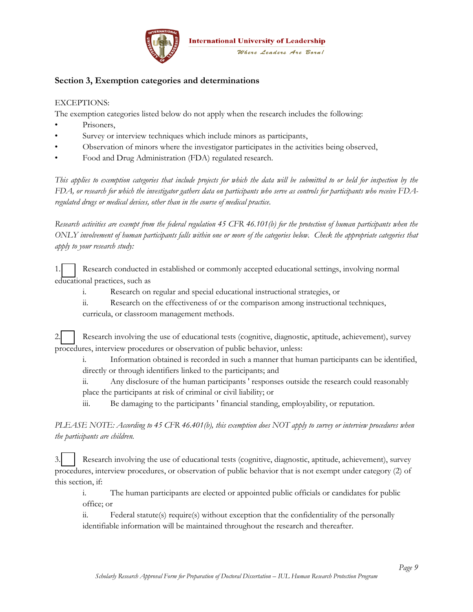

## **Section 3, Exemption categories and determinations**

#### EXCEPTIONS:

The exemption categories listed below do not apply when the research includes the following:

- Prisoners.
- Survey or interview techniques which include minors as participants,
- Observation of minors where the investigator participates in the activities being observed,
- Food and Drug Administration (FDA) regulated research.

*This applies to exemption categories that include projects for which the data will be submitted to or held for inspection by the FDA, or research for which the investigator gathers data on participants who serve as controls for participants who receive FDAregulated drugs or medical devices, other than in the course of medical practice.* 

*Research activities are exempt from the federal regulation 45 CFR 46.101(b) for the protection of human participants when the ONLY involvement of human participants falls within one or more of the categories below. Check the appropriate categories that apply to your research study:* 

1. Research conducted in established or commonly accepted educational settings, involving normal educational practices, such as

- i. Research on regular and special educational instructional strategies, or
- ii. Research on the effectiveness of or the comparison among instructional techniques, curricula, or classroom management methods.

| 2. Research involving the use of educational tests (cognitive, diagnostic, aptitude, achievement), survey |
|-----------------------------------------------------------------------------------------------------------|
| procedures, interview procedures or observation of public behavior, unless:                               |

i. Information obtained is recorded in such a manner that human participants can be identified, directly or through identifiers linked to the participants; and

ii. Any disclosure of the human participants ' responses outside the research could reasonably place the participants at risk of criminal or civil liability; or

iii. Be damaging to the participants ' financial standing, employability, or reputation.

*PLEASE NOTE: According to 45 CFR 46.401(b), this exemption does NOT apply to survey or interview procedures when the participants are children.* 

3. Research involving the use of educational tests (cognitive, diagnostic, aptitude, achievement), survey procedures, interview procedures, or observation of public behavior that is not exempt under category (2) of this section, if:

i. The human participants are elected or appointed public officials or candidates for public office; or

ii. Federal statute(s) require(s) without exception that the confidentiality of the personally identifiable information will be maintained throughout the research and thereafter.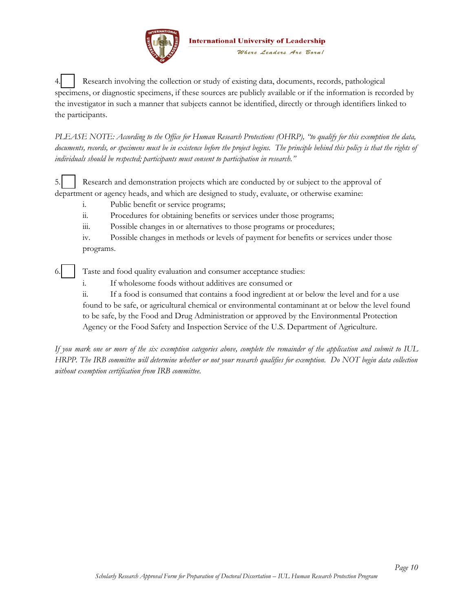

4. Research involving the collection or study of existing data, documents, records, pathological specimens, or diagnostic specimens, if these sources are publicly available or if the information is recorded by the investigator in such a manner that subjects cannot be identified, directly or through identifiers linked to the participants.

*PLEASE NOTE: According to the Office for Human Research Protections (OHRP), "to qualify for this exemption the data,*  documents, records, or specimens must be in existence before the project begins. The principle behind this policy is that the rights of *individuals should be respected; participants must consent to participation in research."*

5. Research and demonstration projects which are conducted by or subject to the approval of department or agency heads, and which are designed to study, evaluate, or otherwise examine:

- i. Public benefit or service programs;
- ii. Procedures for obtaining benefits or services under those programs;
- iii. Possible changes in or alternatives to those programs or procedures;

iv. Possible changes in methods or levels of payment for benefits or services under those programs.

Taste and food quality evaluation and consumer acceptance studies:

i. If wholesome foods without additives are consumed or

ii. If a food is consumed that contains a food ingredient at or below the level and for a use found to be safe, or agricultural chemical or environmental contaminant at or below the level found to be safe, by the Food and Drug Administration or approved by the Environmental Protection Agency or the Food Safety and Inspection Service of the U.S. Department of Agriculture.

*If you mark one or more of the six exemption categories above, complete the remainder of the application and submit to IUL HRPP. The IRB committee will determine whether or not your research qualifies for exemption. Do NOT begin data collection without exemption certification from IRB committee.* 

*Page 10*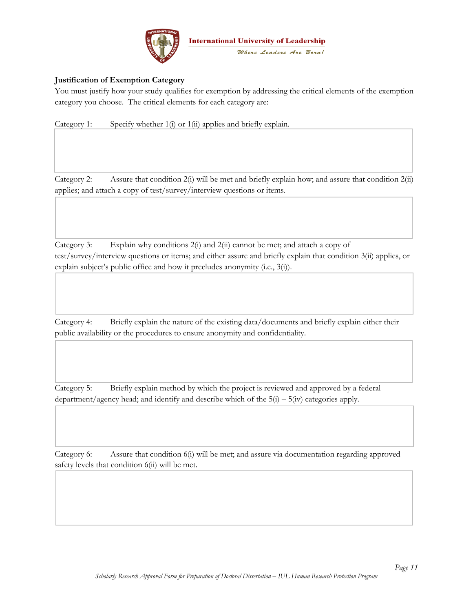

### **Justification of Exemption Category**

You must justify how your study qualifies for exemption by addressing the critical elements of the exemption category you choose. The critical elements for each category are:

Category 1: Specify whether 1(i) or 1(ii) applies and briefly explain.

Category 2: Assure that condition 2(i) will be met and briefly explain how; and assure that condition 2(ii) applies; and attach a copy of test/survey/interview questions or items.

Category 3: Explain why conditions 2(i) and 2(ii) cannot be met; and attach a copy of test/survey/interview questions or items; and either assure and briefly explain that condition 3(ii) applies, or explain subject's public office and how it precludes anonymity (i.e., 3(i)).

Category 4: Briefly explain the nature of the existing data/documents and briefly explain either their public availability or the procedures to ensure anonymity and confidentiality.

Category 5: Briefly explain method by which the project is reviewed and approved by a federal department/agency head; and identify and describe which of the  $5(i) - 5(iv)$  categories apply.

Category 6: Assure that condition 6(i) will be met; and assure via documentation regarding approved safety levels that condition 6(ii) will be met.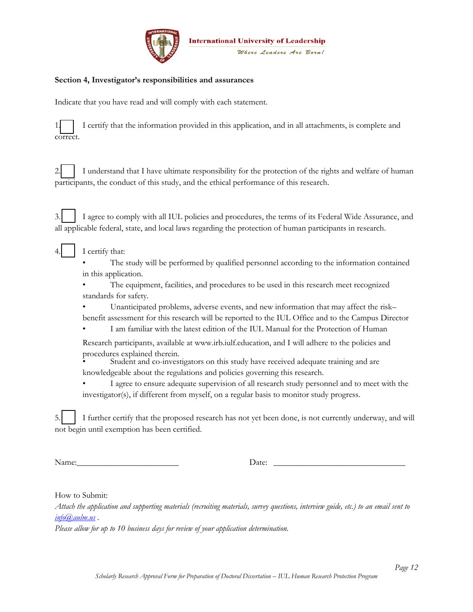

#### **Section 4, Investigator's responsibilities and assurances**

Indicate that you have read and will comply with each statement.

|          | 1 I certify that the information provided in this application, and in all attachments, is complete and |  |  |  |
|----------|--------------------------------------------------------------------------------------------------------|--|--|--|
| correct. |                                                                                                        |  |  |  |

| 2. I understand that I have ultimate responsibility for the protection of the rights and welfare of human |
|-----------------------------------------------------------------------------------------------------------|
| participants, the conduct of this study, and the ethical performance of this research.                    |

3.  $\Box$  I agree to comply with all IUL policies and procedures, the terms of its Federal Wide Assurance, and all applicable federal, state, and local laws regarding the protection of human participants in research.

- I certify that:
	- The study will be performed by qualified personnel according to the information contained in this application.
	- The equipment, facilities, and procedures to be used in this research meet recognized standards for safety.
	- Unanticipated problems, adverse events, and new information that may affect the risk–
	- benefit assessment for this research will be reported to the IUL Office and to the Campus Director • I am familiar with the latest edition of the IUL Manual for the Protection of Human
	- Research participants, available at www.irb.iulf.education, and I will adhere to the policies and procedures explained therein.
	- Student and co-investigators on this study have received adequate training and are knowledgeable about the regulations and policies governing this research.
	- I agree to ensure adequate supervision of all research study personnel and to meet with the investigator(s), if different from myself, on a regular basis to monitor study progress.

5. **I** I further certify that the proposed research has not yet been done, is not currently underway, and will not begin until exemption has been certified.

Name:\_\_\_\_\_\_\_\_\_\_\_\_\_\_\_\_\_\_\_\_\_\_\_\_ Date: \_\_\_\_\_\_\_\_\_\_\_\_\_\_\_\_\_\_\_\_\_\_\_\_\_\_\_\_\_\_\_

How to Submit:

*Attach the application and supporting materials (recruiting materials, survey questions, interview guide, etc.) to an email sent to [info@aulm.us](mailto:info@aulm.us) .* 

*Please allow for up to 10 business days for review of your application determination.*